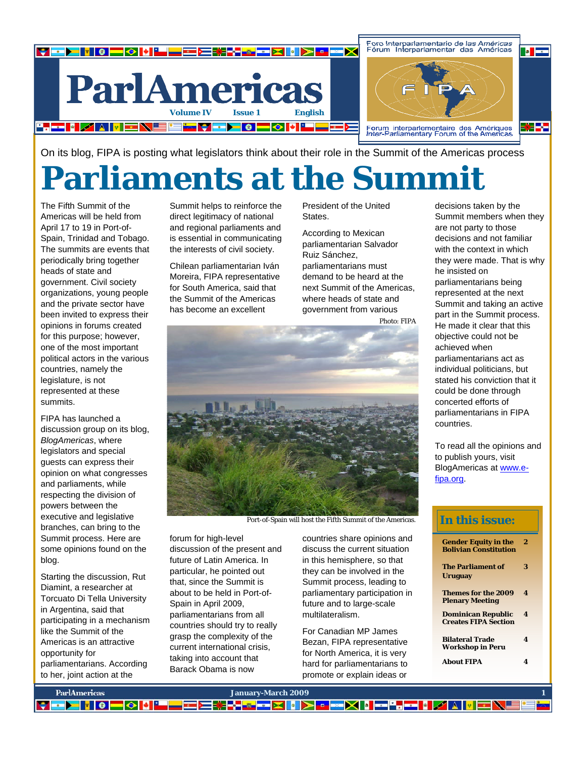

On its blog, FIPA is posting what legislators think about their role in the Summit of the Americas process

### **Parliaments at the Summit**

The Fifth Summit of the Americas will be held from April 17 to 19 in Port-of-Spain, Trinidad and Tobago. The summits are events that periodically bring together heads of state and government. Civil society organizations, young people and the private sector have been invited to express their opinions in forums created for this purpose; however, one of the most important political actors in the various countries, namely the legislature, is not represented at these summits.

FIPA has launched a discussion group on its blog, *BlogAmericas*, where legislators and special guests can express their opinion on what congresses and parliaments, while respecting the division of powers between the executive and legislative branches, can bring to the Summit process. Here are some opinions found on the blog.

Starting the discussion, Rut Diamint, a researcher at Torcuato Di Tella University in Argentina, said that participating in a mechanism like the Summit of the Americas is an attractive opportunity for parliamentarians. According to her, joint action at the

Summit helps to reinforce the direct legitimacy of national and regional parliaments and is essential in communicating the interests of civil society.

Chilean parliamentarian Iván Moreira, FIPA representative for South America, said that the Summit of the Americas has become an excellent

President of the United States.

According to Mexican parliamentarian Salvador Ruiz Sánchez, parliamentarians must demand to be heard at the next Summit of the Americas, where heads of state and government from various

Photo: FIPA



Port-of-Spain will host the Fifth Summit of the Americas.

forum for high-level discussion of the present and future of Latin America. In particular, he pointed out that, since the Summit is about to be held in Port-of-Spain in April 2009, parliamentarians from all countries should try to really grasp the complexity of the current international crisis, taking into account that Barack Obama is now

countries share opinions and discuss the current situation in this hemisphere, so that they can be involved in the Summit process, leading to parliamentary participation in future and to large-scale multilateralism.

For Canadian MP James Bezan, FIPA representative for North America, it is very hard for parliamentarians to promote or explain ideas or

decisions taken by the Summit members when they are not party to those decisions and not familiar with the context in which they were made. That is why he insisted on parliamentarians being represented at the next Summit and taking an active part in the Summit process. He made it clear that this objective could not be achieved when parliamentarians act as individual politicians, but stated his conviction that it could be done through concerted efforts of parliamentarians in FIPA countries.

To read all the opinions and to publish yours, visit BlogAmericas at www.efipa.org.

#### **In this issue:**

| <b>Gender Equity in the</b><br><b>Bolivian Constitution</b> | 2 |
|-------------------------------------------------------------|---|
| <b>The Parliament of</b><br>Uruguay                         | 3 |
| <b>Themes for the 2009</b><br><b>Plenary Meeting</b>        | 4 |
| Dominican Republic<br><b>Creates FIPA Section</b>           | 4 |
| <b>Bilateral Trade</b><br><b>Workshop in Peru</b>           | 4 |
| <b>About FIPA</b>                                           | 4 |

| <b>ParlAmericas</b> | January-March 2009                               |  |
|---------------------|--------------------------------------------------|--|
|                     | ▎▛▆▛▌▌▌▌▀▏▓▐▀▀▀▛▓▞▞▛▀▓▐▕▕▅▓▏▏▛▗▕▛▜▞▐▏▓▏▏▏▊▔░▙▋▆▎ |  |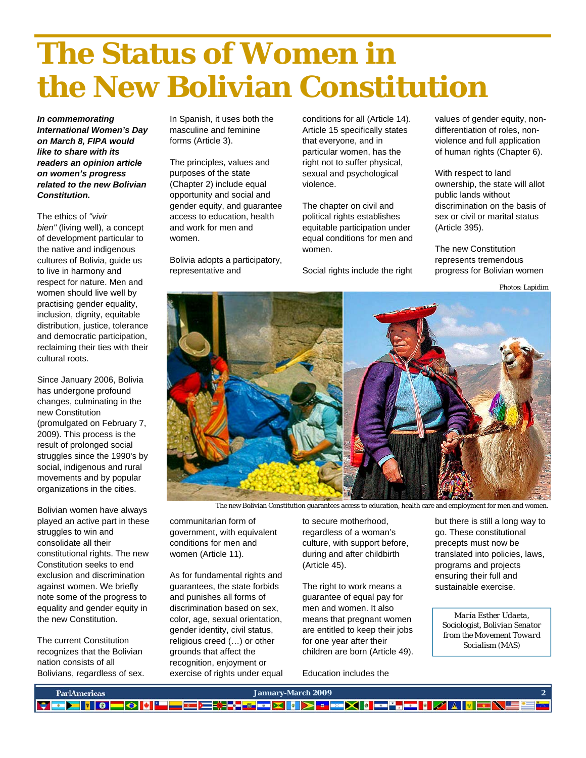# **The Status of Women in the New Bolivian Constitution**

*In commemorating International Women's Day on March 8, FIPA would like to share with its readers an opinion article on women's progress related to the new Bolivian Constitution.* 

The ethics of *"vivir bien"* (living well), a concept of development particular to the native and indigenous cultures of Bolivia, guide us to live in harmony and respect for nature. Men and women should live well by practising gender equality, inclusion, dignity, equitable distribution, justice, tolerance and democratic participation, reclaiming their ties with their cultural roots.

Since January 2006, Bolivia has undergone profound changes, culminating in the new Constitution (promulgated on February 7, 2009). This process is the result of prolonged social struggles since the 1990's by social, indigenous and rural movements and by popular organizations in the cities.

Bolivian women have always played an active part in these struggles to win and consolidate all their constitutional rights. The new Constitution seeks to end exclusion and discrimination against women. We briefly note some of the progress to equality and gender equity in the new Constitution.

The current Constitution recognizes that the Bolivian nation consists of all Bolivians, regardless of sex. In Spanish, it uses both the masculine and feminine forms (Article 3).

The principles, values and purposes of the state (Chapter 2) include equal opportunity and social and gender equity, and guarantee access to education, health and work for men and women.

Bolivia adopts a participatory, representative and

conditions for all (Article 14). Article 15 specifically states that everyone, and in particular women, has the right not to suffer physical, sexual and psychological violence.

The chapter on civil and political rights establishes equitable participation under equal conditions for men and women.

Social rights include the right

values of gender equity, nondifferentiation of roles, nonviolence and full application of human rights (Chapter 6).

With respect to land ownership, the state will allot public lands without discrimination on the basis of sex or civil or marital status (Article 395).

The new Constitution represents tremendous progress for Bolivian women

Photos: Lapidim



The new Bolivian Constitution guarantees access to education, health care and employment for men and women.

communitarian form of government, with equivalent conditions for men and women (Article 11).

As for fundamental rights and guarantees, the state forbids and punishes all forms of discrimination based on sex, color, age, sexual orientation, gender identity, civil status, religious creed (…) or other grounds that affect the recognition, enjoyment or exercise of rights under equal to secure motherhood, regardless of a woman's culture, with support before, during and after childbirth (Article 45).

The right to work means a guarantee of equal pay for men and women. It also means that pregnant women are entitled to keep their jobs for one year after their children are born (Article 49).

Education includes the

but there is still a long way to go. These constitutional precepts must now be translated into policies, laws, programs and projects ensuring their full and sustainable exercise.

*María Esther Udaeta, Sociologist, Bolivian Senator from the Movement Toward Socialism (MAS)* 

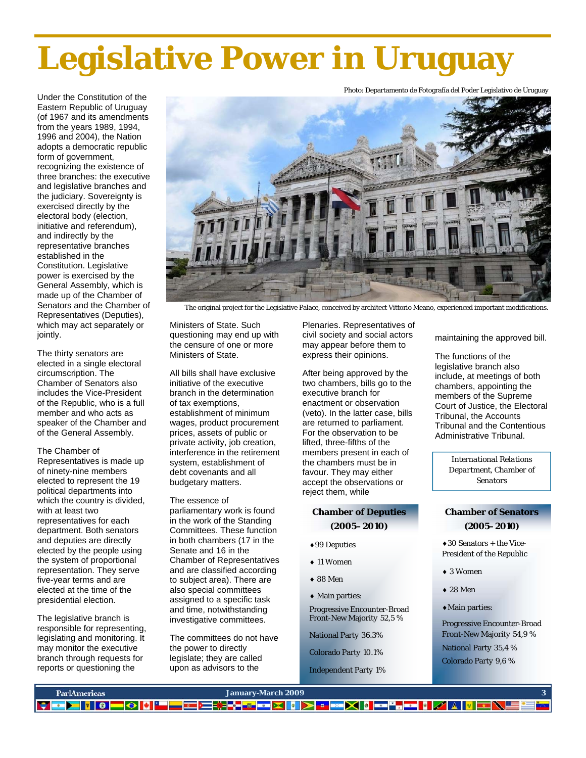# **Legislative Power in Uruguay**

Photo: Departamento de Fotografía del Poder Legislativo de Uruguay

Under the Constitution of the Eastern Republic of Uruguay (of 1967 and its amendments from the years 1989, 1994, 1996 and 2004), the Nation adopts a democratic republic form of government, recognizing the existence of three branches: the executive and legislative branches and the judiciary. Sovereignty is exercised directly by the electoral body (election, initiative and referendum), and indirectly by the representative branches established in the Constitution. Legislative power is exercised by the General Assembly, which is made up of the Chamber of Senators and the Chamber of Representatives (Deputies), which may act separately or jointly.

The thirty senators are elected in a single electoral circumscription. The Chamber of Senators also includes the Vice-President of the Republic, who is a full member and who acts as speaker of the Chamber and of the General Assembly.

#### The Chamber of

Representatives is made up of ninety-nine members elected to represent the 19 political departments into which the country is divided, with at least two representatives for each department. Both senators and deputies are directly elected by the people using the system of proportional representation. They serve five-year terms and are elected at the time of the presidential election.

The legislative branch is responsible for representing, legislating and monitoring. It may monitor the executive branch through requests for reports or questioning the



The original project for the Legislative Palace, conceived by architect Vittorio Meano, experienced important modifications.

Ministers of State. Such questioning may end up with the censure of one or more Ministers of State.

All bills shall have exclusive initiative of the executive branch in the determination of tax exemptions, establishment of minimum wages, product procurement prices, assets of public or private activity, job creation, interference in the retirement system, establishment of debt covenants and all budgetary matters.

#### The essence of parliamentary work is found in the work of the Standing Committees. These function in both chambers (17 in the Senate and 16 in the Chamber of Representatives and are classified according to subject area). There are also special committees assigned to a specific task and time, notwithstanding investigative committees.

The committees do not have the power to directly legislate; they are called upon as advisors to the

Plenaries. Representatives of civil society and social actors may appear before them to express their opinions.

After being approved by the two chambers, bills go to the executive branch for enactment or observation (veto). In the latter case, bills are returned to parliament. For the observation to be lifted, three-fifths of the members present in each of the chambers must be in favour. They may either accept the observations or reject them, while

#### **Chamber of Deputies (2005–2010)**

- ♦99 Deputies
- ♦ 11 Women
- ♦ 88 Men
- ♦ Main parties:

Progressive Encounter-Broad Front-New Majority 52,5 %

National Party 36.3%

Colorado Party 10.1%

Independent Party 1%

maintaining the approved bill.

The functions of the legislative branch also include, at meetings of both chambers, appointing the members of the Supreme Court of Justice, the Electoral Tribunal, the Accounts Tribunal and the Contentious Administrative Tribunal.

*International Relations Department, Chamber of Senators* 

#### **Chamber of Senators (2005–2010)**

♦30 Senators + the Vice-President of the Republic

- ♦ 3 Women
- ♦ 28 Men
- ♦Main parties:

Progressive Encounter-Broad Front-New Majority 54,9 % National Party 35,4 % Colorado Party 9,6 %

| ParlAmericas | January-March 2009 |  |
|--------------|--------------------|--|
|              |                    |  |